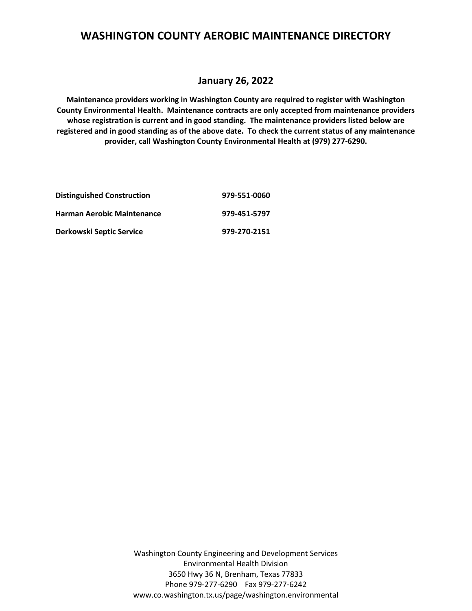#### **January 26, 2022**

**Maintenance providers working in Washington County are required to register with Washington County Environmental Health. Maintenance contracts are only accepted from maintenance providers whose registration is current and in good standing. The maintenance providers listed below are registered and in good standing as of the above date. To check the current status of any maintenance provider, call Washington County Environmental Health at (979) 277-6290.**

| <b>Distinguished Construction</b> | 979-551-0060 |
|-----------------------------------|--------------|
| <b>Harman Aerobic Maintenance</b> | 979-451-5797 |
| Derkowski Septic Service          | 979-270-2151 |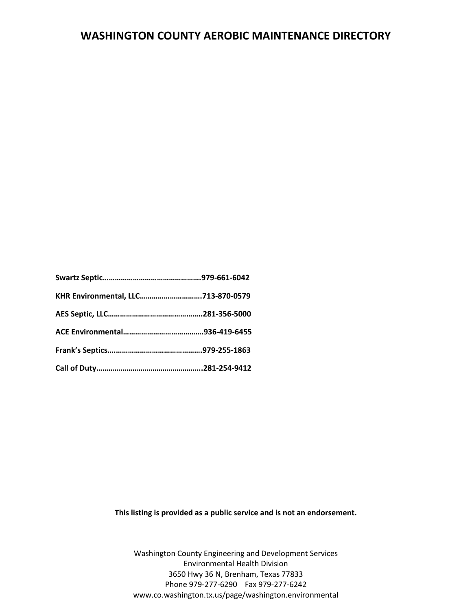| KHR Environmental, LLC713-870-0579 |  |
|------------------------------------|--|
|                                    |  |
|                                    |  |
|                                    |  |
|                                    |  |

**This listing is provided as a public service and is not an endorsement.**